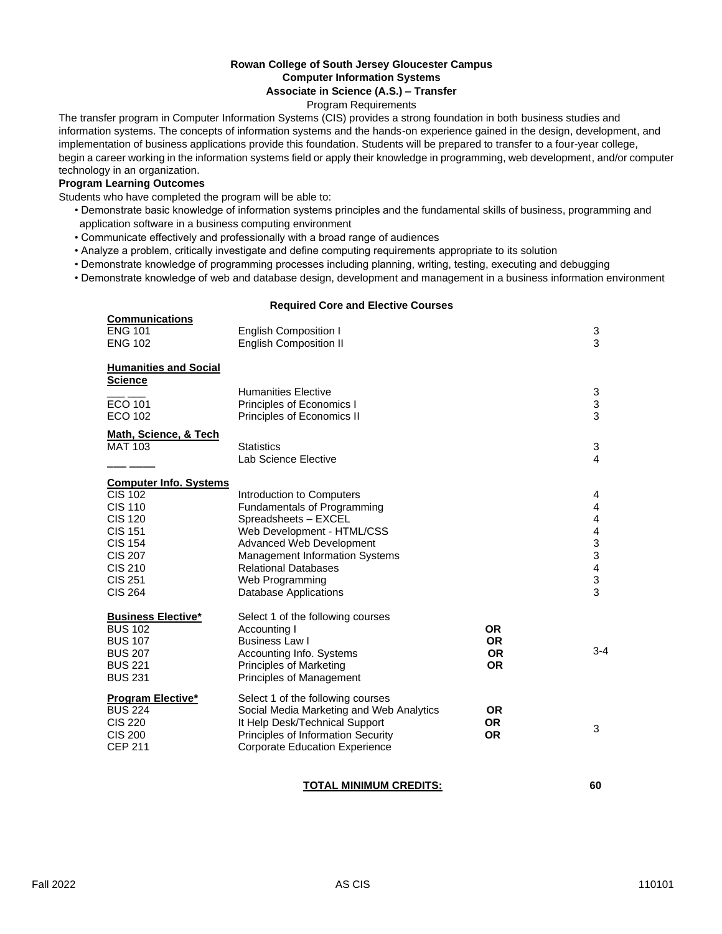# **Rowan College of South Jersey Gloucester Campus Computer Information Systems**

# **Associate in Science (A.S.) – Transfer**

Program Requirements

The transfer program in Computer Information Systems (CIS) provides a strong foundation in both business studies and information systems. The concepts of information systems and the hands-on experience gained in the design, development, and implementation of business applications provide this foundation. Students will be prepared to transfer to a four-year college, begin a career working in the information systems field or apply their knowledge in programming, web development, and/or computer technology in an organization.

#### **Program Learning Outcomes**

Students who have completed the program will be able to:

- Demonstrate basic knowledge of information systems principles and the fundamental skills of business, programming and application software in a business computing environment
- Communicate effectively and professionally with a broad range of audiences
- Analyze a problem, critically investigate and define computing requirements appropriate to its solution
- Demonstrate knowledge of programming processes including planning, writing, testing, executing and debugging
- Demonstrate knowledge of web and database design, development and management in a business information environment

#### **Required Core and Elective Courses**

| <b>Communications</b><br><b>ENG 101</b><br><b>ENG 102</b>                                                                                                                                       | <b>English Composition I</b><br><b>English Composition II</b>                                                                                                                                                                                                                |                                                  | 3<br>3                                                                                                            |
|-------------------------------------------------------------------------------------------------------------------------------------------------------------------------------------------------|------------------------------------------------------------------------------------------------------------------------------------------------------------------------------------------------------------------------------------------------------------------------------|--------------------------------------------------|-------------------------------------------------------------------------------------------------------------------|
|                                                                                                                                                                                                 |                                                                                                                                                                                                                                                                              |                                                  |                                                                                                                   |
| <b>Humanities and Social</b><br><b>Science</b>                                                                                                                                                  |                                                                                                                                                                                                                                                                              |                                                  |                                                                                                                   |
| <b>ECO 101</b><br><b>ECO 102</b>                                                                                                                                                                | <b>Humanities Elective</b><br>Principles of Economics I<br>Principles of Economics II                                                                                                                                                                                        |                                                  | 3<br>$\ensuremath{\mathsf{3}}$<br>3                                                                               |
| Math, Science, & Tech<br><b>MAT 103</b>                                                                                                                                                         | <b>Statistics</b><br>Lab Science Elective                                                                                                                                                                                                                                    |                                                  | 3<br>4                                                                                                            |
| <b>Computer Info. Systems</b><br><b>CIS 102</b><br><b>CIS 110</b><br><b>CIS 120</b><br><b>CIS 151</b><br><b>CIS 154</b><br><b>CIS 207</b><br><b>CIS 210</b><br><b>CIS 251</b><br><b>CIS 264</b> | Introduction to Computers<br><b>Fundamentals of Programming</b><br>Spreadsheets - EXCEL<br>Web Development - HTML/CSS<br>Advanced Web Development<br><b>Management Information Systems</b><br><b>Relational Databases</b><br>Web Programming<br><b>Database Applications</b> |                                                  | 4<br>$\overline{4}$<br>$\overline{4}$<br>$\overline{4}$<br>3<br>3<br>$\overline{\mathbf{4}}$<br>$\mathbf{3}$<br>3 |
| <b>Business Elective*</b><br><b>BUS 102</b><br><b>BUS 107</b><br><b>BUS 207</b><br><b>BUS 221</b><br><b>BUS 231</b>                                                                             | Select 1 of the following courses<br>Accounting I<br><b>Business Law I</b><br>Accounting Info. Systems<br><b>Principles of Marketing</b><br>Principles of Management                                                                                                         | <b>OR</b><br><b>OR</b><br><b>OR</b><br><b>OR</b> | $3 - 4$                                                                                                           |
| <b>Program Elective*</b><br><b>BUS 224</b><br><b>CIS 220</b><br><b>CIS 200</b><br><b>CEP 211</b>                                                                                                | Select 1 of the following courses<br>Social Media Marketing and Web Analytics<br>It Help Desk/Technical Support<br><b>Principles of Information Security</b><br><b>Corporate Education Experience</b>                                                                        | <b>OR</b><br><b>OR</b><br><b>OR</b>              | 3                                                                                                                 |

## **TOTAL MINIMUM CREDITS: 60**